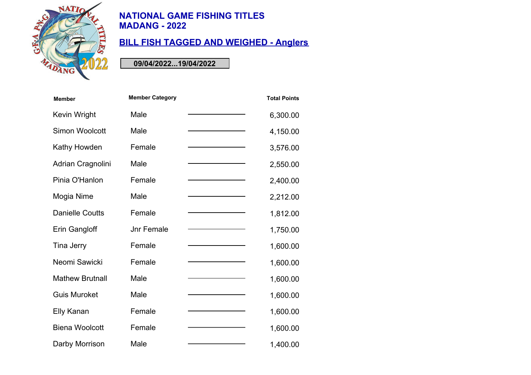

# **BILL FISH TAGGED AND WEIGHED - Anglers**

| <b>Member</b>          | <b>Member Category</b> | <b>Total Points</b> |
|------------------------|------------------------|---------------------|
| Kevin Wright           | Male                   | 6,300.00            |
| Simon Woolcott         | Male                   | 4,150.00            |
| Kathy Howden           | Female                 | 3,576.00            |
| Adrian Cragnolini      | Male                   | 2,550.00            |
| Pinia O'Hanlon         | Female                 | 2,400.00            |
| Mogia Nime             | Male                   | 2,212.00            |
| <b>Danielle Coutts</b> | Female                 | 1,812.00            |
| Erin Gangloff          | <b>Jnr Female</b>      | 1,750.00            |
| Tina Jerry             | Female                 | 1,600.00            |
| Neomi Sawicki          | Female                 | 1,600.00            |
| <b>Mathew Brutnall</b> | Male                   | 1,600.00            |
| <b>Guis Muroket</b>    | Male                   | 1,600.00            |
| Elly Kanan             | Female                 | 1,600.00            |
| <b>Biena Woolcott</b>  | Female                 | 1,600.00            |
| Darby Morrison         | Male                   | 1,400.00            |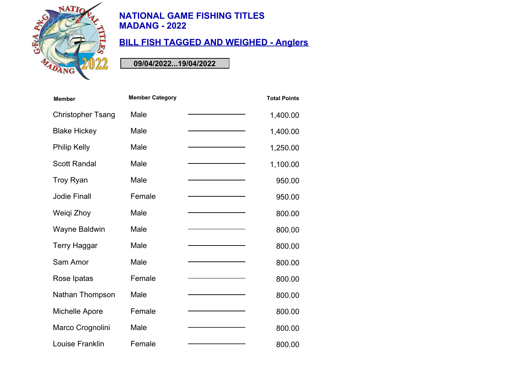

# **BILL FISH TAGGED AND WEIGHED - Anglers**

| <b>Member</b>            | <b>Member Category</b> | <b>Total Points</b> |
|--------------------------|------------------------|---------------------|
| <b>Christopher Tsang</b> | Male                   | 1,400.00            |
| <b>Blake Hickey</b>      | Male                   | 1,400.00            |
| <b>Philip Kelly</b>      | Male                   | 1,250.00            |
| <b>Scott Randal</b>      | Male                   | 1,100.00            |
| Troy Ryan                | Male                   | 950.00              |
| <b>Jodie Finall</b>      | Female                 | 950.00              |
| Weiqi Zhoy               | Male                   | 800.00              |
| <b>Wayne Baldwin</b>     | Male                   | 800.00              |
| <b>Terry Haggar</b>      | Male                   | 800.00              |
| Sam Amor                 | Male                   | 800.00              |
| Rose Ipatas              | Female                 | 800.00              |
| Nathan Thompson          | Male                   | 800.00              |
| Michelle Apore           | Female                 | 800.00              |
| Marco Crognolini         | Male                   | 800.00              |
| Louise Franklin          | Female                 | 800.00              |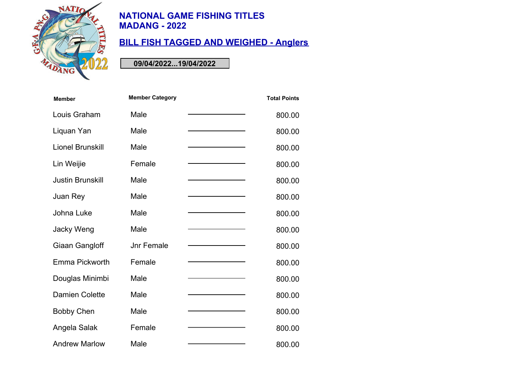

# **BILL FISH TAGGED AND WEIGHED - Anglers**

| <b>Member</b>           | <b>Member Category</b> | <b>Total Points</b> |
|-------------------------|------------------------|---------------------|
| Louis Graham            | Male                   | 800.00              |
| Liquan Yan              | Male                   | 800.00              |
| <b>Lionel Brunskill</b> | Male                   | 800.00              |
| Lin Weijie              | Female                 | 800.00              |
| <b>Justin Brunskill</b> | Male                   | 800.00              |
| Juan Rey                | Male                   | 800.00              |
| Johna Luke              | Male                   | 800.00              |
| Jacky Weng              | Male                   | 800.00              |
| Giaan Gangloff          | <b>Jnr Female</b>      | 800.00              |
| Emma Pickworth          | Female                 | 800.00              |
| Douglas Minimbi         | Male                   | 800.00              |
| <b>Damien Colette</b>   | Male                   | 800.00              |
| <b>Bobby Chen</b>       | Male                   | 800.00              |
| Angela Salak            | Female                 | 800.00              |
| <b>Andrew Marlow</b>    | Male                   | 800.00              |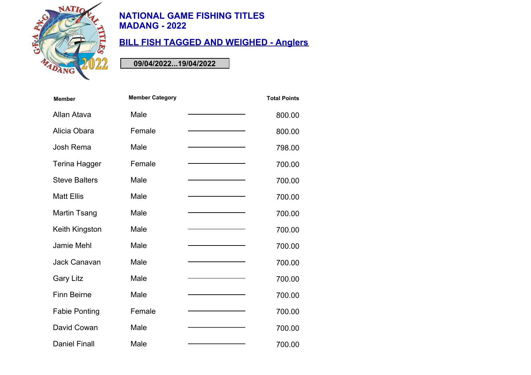

# **BILL FISH TAGGED AND WEIGHED - Anglers**

| <b>Member</b>        | <b>Member Category</b> | <b>Total Points</b> |
|----------------------|------------------------|---------------------|
| Allan Atava          | Male                   | 800.00              |
| Alicia Obara         | Female                 | 800.00              |
| Josh Rema            | Male                   | 798.00              |
| Terina Hagger        | Female                 | 700.00              |
| <b>Steve Balters</b> | Male                   | 700.00              |
| <b>Matt Ellis</b>    | Male                   | 700.00              |
| Martin Tsang         | Male                   | 700.00              |
| Keith Kingston       | Male                   | 700.00              |
| Jamie Mehl           | Male                   | 700.00              |
| Jack Canavan         | Male                   | 700.00              |
| <b>Gary Litz</b>     | Male                   | 700.00              |
| <b>Finn Beirne</b>   | Male                   | 700.00              |
| <b>Fabie Ponting</b> | Female                 | 700.00              |
| David Cowan          | Male                   | 700.00              |
| <b>Daniel Finall</b> | Male                   | 700.00              |